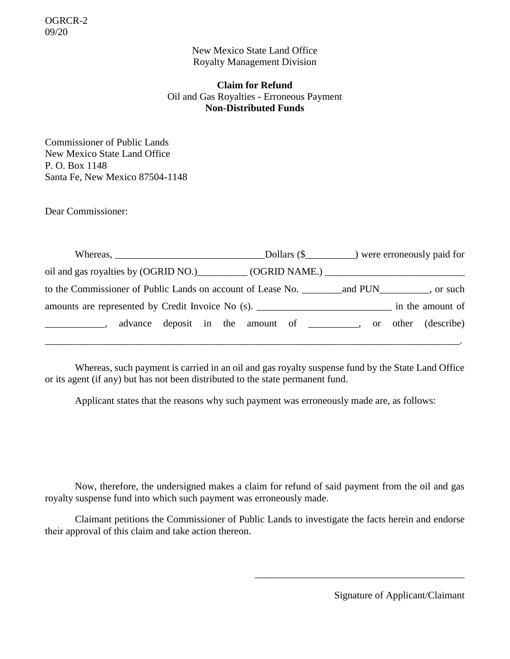New Mexico State Land Office Royalty Management Division

# **Claim for Refund** Oil and Gas Royalties - Erroneous Payment **Non-Distributed Funds**

Commissioner of Public Lands New Mexico State Land Office P. O. Box 1148 Santa Fe, New Mexico 87504-1148

Dear Commissioner:

| amounts are represented by Credit Invoice No (s). ________________________________ in the amount of                                                                  |  |  |
|----------------------------------------------------------------------------------------------------------------------------------------------------------------------|--|--|
| advance deposit in the amount of ________, or other (describe)<br>$\overline{\phantom{a}}$ , and the contract of $\overline{\phantom{a}}$ , $\overline{\phantom{a}}$ |  |  |
|                                                                                                                                                                      |  |  |

Whereas, such payment is carried in an oil and gas royalty suspense fund by the State Land Office or its agent (if any) but has not been distributed to the state permanent fund.

Applicant states that the reasons why such payment was erroneously made are, as follows:

Now, therefore, the undersigned makes a claim for refund of said payment from the oil and gas royalty suspense fund into which such payment was erroneously made.

Claimant petitions the Commissioner of Public Lands to investigate the facts herein and endorse their approval of this claim and take action thereon.

Signature of Applicant/Claimant

\_\_\_\_\_\_\_\_\_\_\_\_\_\_\_\_\_\_\_\_\_\_\_\_\_\_\_\_\_\_\_\_\_\_\_\_\_\_\_\_\_\_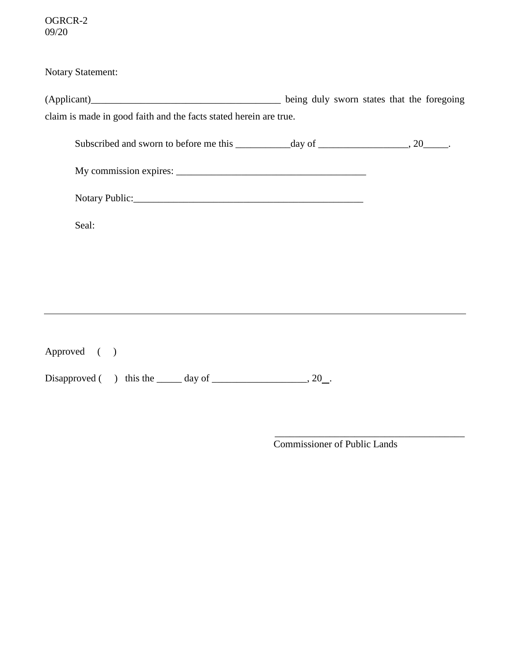Notary Statement:

(Applicant)\_\_\_\_\_\_\_\_\_\_\_\_\_\_\_\_\_\_\_\_\_\_\_\_\_\_\_\_\_\_\_\_\_\_\_\_\_\_ being duly sworn states that the foregoing claim is made in good faith and the facts stated herein are true.

| Subscribed and sworn to before me this | day of | 20 |
|----------------------------------------|--------|----|
|                                        |        |    |

| My commission expires: |  |
|------------------------|--|
|------------------------|--|

| <b>Notary Public:</b> |
|-----------------------|
|                       |

Seal:

Approved ( ) Disapproved  $($  ) this the \_\_\_\_\_ day of \_\_\_\_\_\_\_\_\_\_\_\_\_\_\_\_, 20\_.

Commissioner of Public Lands

\_\_\_\_\_\_\_\_\_\_\_\_\_\_\_\_\_\_\_\_\_\_\_\_\_\_\_\_\_\_\_\_\_\_\_\_\_\_